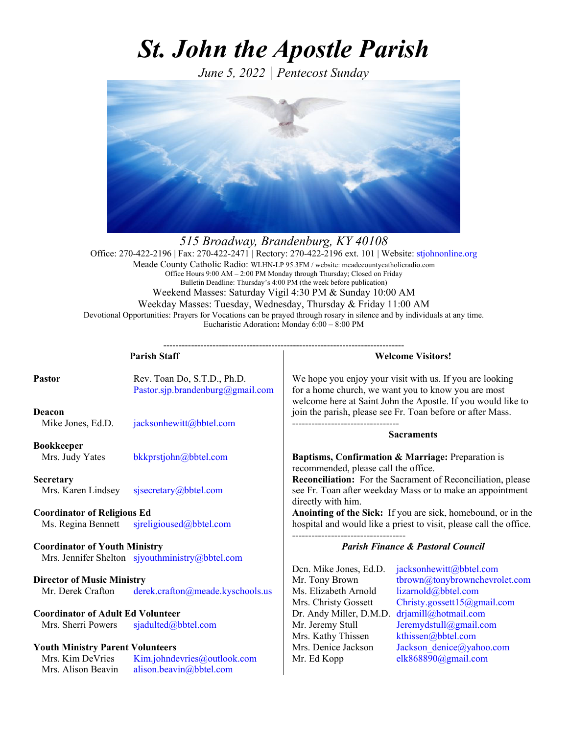# *St. John the Apostle Parish*

*June 5, 2022 | Pentecost Sunday*



*515 Broadway, Brandenburg, KY 40108*  Office: 270-422-2196 | Fax: 270-422-2471 | Rectory: 270-422-2196 ext. 101 | Website: stjohnonline.org Meade County Catholic Radio: WLHN-LP 95.3FM / website: meadecountycatholicradio.com Office Hours 9:00 AM – 2:00 PM Monday through Thursday; Closed on Friday Bulletin Deadline: Thursday's 4:00 PM (the week before publication) Weekend Masses: Saturday Vigil 4:30 PM & Sunday 10:00 AM Weekday Masses: Tuesday, Wednesday, Thursday & Friday 11:00 AM Devotional Opportunities: Prayers for Vocations can be prayed through rosary in silence and by individuals at any time. Eucharistic Adoration**:** Monday 6:00 – 8:00 PM

| <b>Parish Staff</b>                                                                     |                                                                 | <b>Welcome Visitors!</b>                                                                  |                                                                                                                                                                                 |
|-----------------------------------------------------------------------------------------|-----------------------------------------------------------------|-------------------------------------------------------------------------------------------|---------------------------------------------------------------------------------------------------------------------------------------------------------------------------------|
| <b>Pastor</b>                                                                           | Rev. Toan Do, S.T.D., Ph.D.<br>Pastor.sjp.brandenburg@gmail.com |                                                                                           | We hope you enjoy your visit with us. If you are looking<br>for a home church, we want you to know you are most<br>welcome here at Saint John the Apostle. If you would like to |
| <b>Deacon</b><br>Mike Jones, Ed.D.                                                      | jacksonhewitt@bbtel.com                                         |                                                                                           | join the parish, please see Fr. Toan before or after Mass.<br><b>Sacraments</b>                                                                                                 |
| <b>Bookkeeper</b>                                                                       |                                                                 |                                                                                           |                                                                                                                                                                                 |
| Mrs. Judy Yates                                                                         | bkkprstjohn@bbtel.com                                           | Baptisms, Confirmation & Marriage: Preparation is<br>recommended, please call the office. |                                                                                                                                                                                 |
| <b>Secretary</b>                                                                        |                                                                 |                                                                                           | Reconciliation: For the Sacrament of Reconciliation, please                                                                                                                     |
| Mrs. Karen Lindsey                                                                      | sjsecretary@bbtel.com                                           | directly with him.                                                                        | see Fr. Toan after weekday Mass or to make an appointment                                                                                                                       |
| <b>Coordinator of Religious Ed</b>                                                      |                                                                 |                                                                                           | Anointing of the Sick: If you are sick, homebound, or in the                                                                                                                    |
| Ms. Regina Bennett                                                                      | sjreligioused@bbtel.com                                         | hospital and would like a priest to visit, please call the office.                        |                                                                                                                                                                                 |
| <b>Coordinator of Youth Ministry</b><br>Mrs. Jennifer Shelton sjyouthministry@bbtel.com |                                                                 | <b>Parish Finance &amp; Pastoral Council</b>                                              |                                                                                                                                                                                 |
|                                                                                         |                                                                 | Den. Mike Jones, Ed.D.                                                                    | jacksonhewitt@bbtel.com                                                                                                                                                         |
| <b>Director of Music Ministry</b><br>Mr. Derek Crafton                                  | derek.crafton@meade.kyschools.us                                | Mr. Tony Brown<br>Ms. Elizabeth Arnold<br>Mrs. Christy Gossett                            | tbrown@tonybrownchevrolet.com<br>lizarnold@bbtel.com<br>Christy.gossett15@gmail.com                                                                                             |
| <b>Coordinator of Adult Ed Volunteer</b>                                                |                                                                 | Dr. Andy Miller, D.M.D.                                                                   | drjamill@hotmail.com                                                                                                                                                            |
| Mrs. Sherri Powers                                                                      | sjadulted@bbtel.com                                             | Mr. Jeremy Stull<br>Mrs. Kathy Thissen                                                    | Jeremydstull@gmail.com<br>kthissen@bbtel.com                                                                                                                                    |
| <b>Youth Ministry Parent Volunteers</b>                                                 |                                                                 | Mrs. Denice Jackson                                                                       | Jackson denice@yahoo.com                                                                                                                                                        |
| Mrs. Kim DeVries<br>Mrs. Alison Beavin                                                  | Kim.johndevries@outlook.com<br>alison.beavin@bbtel.com          | Mr. Ed Kopp                                                                               | elk868890@gmail.com                                                                                                                                                             |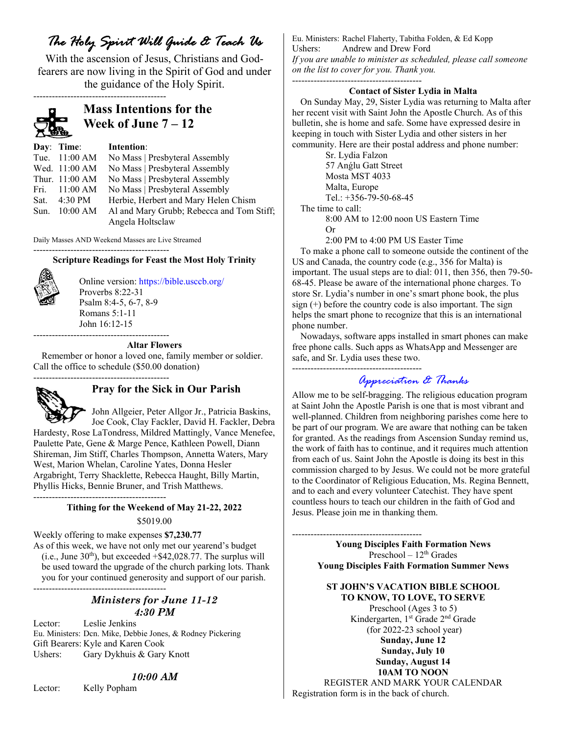# *The Holy Spirit Will Guide & Teach Us*

With the ascension of Jesus, Christians and Godfearers are now living in the Spirit of God and under the guidance of the Holy Spirit.



# **Mass Intentions for the Week of June 7 – 12**

| Day: Time:              | Intention:                                |
|-------------------------|-------------------------------------------|
| Tue. 11:00 AM           | No Mass   Presbyteral Assembly            |
| Wed. 11:00 AM           | No Mass   Presbyteral Assembly            |
| Thur. 11:00 AM          | No Mass   Presbyteral Assembly            |
| Fri. $11:00 AM$         | No Mass   Presbyteral Assembly            |
| Sat. $4:30 \text{ PM}$  | Herbie, Herbert and Mary Helen Chism      |
| Sun. $10:00 \text{ AM}$ | Al and Mary Grubb; Rebecca and Tom Stiff; |
|                         | Angela Holtsclaw                          |

Daily Masses AND Weekend Masses are Live Streamed --------------------------------------------

# **Scripture Readings for Feast the Most Holy Trinity**



Online version: https://bible.usccb.org/ Proverbs 8:22-31 Psalm 8:4-5, 6-7, 8-9 Romans 5:1-11 John 16:12-15 --------------------------------------------

## **Altar Flowers**

Remember or honor a loved one, family member or soldier. Call the office to schedule (\$50.00 donation) --------------------------------------------



# **Pray for the Sick in Our Parish**

 John Allgeier, Peter Allgor Jr., Patricia Baskins, Joe Cook, Clay Fackler, David H. Fackler, Debra Hardesty, Rose LaTondress, Mildred Mattingly, Vance Menefee, Paulette Pate, Gene & Marge Pence, Kathleen Powell, Diann Shireman, Jim Stiff, Charles Thompson, Annetta Waters, Mary West, Marion Whelan, Caroline Yates, Donna Hesler Argabright, Terry Shacklette, Rebecca Haught, Billy Martin, Phyllis Hicks, Bennie Bruner, and Trish Matthews. -------------------------------------------

## **Tithing for the Weekend of May 21-22, 2022**

#### \$5019.00

Weekly offering to make expenses **\$7,230.77**  As of this week, we have not only met our yearend's budget  $(i.e., June 30<sup>th</sup>)$ , but exceeded  $+$ \$42,028.77. The surplus will be used toward the upgrade of the church parking lots. Thank you for your continued generosity and support of our parish. -------------------------------------------

# *Ministers for June 11-12 4:30 PM*

Lector: Leslie Jenkins Eu. Ministers: Dcn. Mike, Debbie Jones, & Rodney Pickering Gift Bearers: Kyle and Karen Cook Ushers: Gary Dykhuis & Gary Knott

# *10:00 AM*

Lector: Kelly Popham

Eu. Ministers: Rachel Flaherty, Tabitha Folden, & Ed Kopp Ushers: Andrew and Drew Ford *If you are unable to minister as scheduled, please call someone on the list to cover for you. Thank you.* ------------------------------------------

## **Contact of Sister Lydia in Malta**

On Sunday May, 29, Sister Lydia was returning to Malta after her recent visit with Saint John the Apostle Church. As of this bulletin, she is home and safe. Some have expressed desire in keeping in touch with Sister Lydia and other sisters in her community. Here are their postal address and phone number:

Sr. Lydia Falzon 57 Anǵlu Gatt Street Mosta MST 4033 Malta, Europe Tel.: +356-79-50-68-45 The time to call:

------------------------------------------

8:00 AM to 12:00 noon US Eastern Time Or

2:00 PM to 4:00 PM US Easter Time

To make a phone call to someone outside the continent of the US and Canada, the country code (e.g., 356 for Malta) is important. The usual steps are to dial: 011, then 356, then 79-50- 68-45. Please be aware of the international phone charges. To store Sr. Lydia's number in one's smart phone book, the plus sign (+) before the country code is also important. The sign helps the smart phone to recognize that this is an international phone number.

Nowadays, software apps installed in smart phones can make free phone calls. Such apps as WhatsApp and Messenger are safe, and Sr. Lydia uses these two.

# *Appreciation & Thanks*

Allow me to be self-bragging. The religious education program at Saint John the Apostle Parish is one that is most vibrant and well-planned. Children from neighboring parishes come here to be part of our program. We are aware that nothing can be taken for granted. As the readings from Ascension Sunday remind us, the work of faith has to continue, and it requires much attention from each of us. Saint John the Apostle is doing its best in this commission charged to by Jesus. We could not be more grateful to the Coordinator of Religious Education, Ms. Regina Bennett, and to each and every volunteer Catechist. They have spent countless hours to teach our children in the faith of God and Jesus. Please join me in thanking them.

------------------------------------------ **Young Disciples Faith Formation News**  Preschool – 12<sup>th</sup> Grades **Young Disciples Faith Formation Summer News** 

> **ST JOHN'S VACATION BIBLE SCHOOL TO KNOW, TO LOVE, TO SERVE**

> > Preschool (Ages 3 to 5) Kindergarten, 1st Grade 2nd Grade (for 2022-23 school year)

> > > **Sunday, June 12 Sunday, July 10 Sunday, August 14 10AM TO NOON**

REGISTER AND MARK YOUR CALENDAR Registration form is in the back of church.